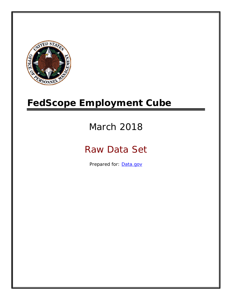

# **FedScope Employment Cube**

# March 2018

# Raw Data Set

Prepared for: [Data.gov](http://www.data.gov/)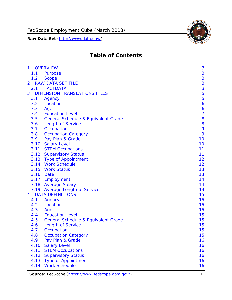

# **Table of Contents**

| $\mathbf{1}$   |      | <b>OVERVIEW</b>                                | 3              |
|----------------|------|------------------------------------------------|----------------|
|                | 1.1  | Purpose                                        | 3              |
|                | 1.2  | <b>Scope</b>                                   | 3              |
| $\overline{2}$ |      | <b>RAW DATA SET FILE</b>                       | 3              |
|                | 2.1  | <b>FACTDATA</b>                                | 3              |
| 3              |      | <b>DIMENSION TRANSLATIONS FILES</b>            | 5              |
|                | 3.1  | Agency                                         | 5              |
|                | 3.2  | Location                                       | 6              |
|                | 3.3  | Age                                            | 6              |
|                | 3.4  | <b>Education Level</b>                         | $\overline{7}$ |
|                | 3.5  | <b>General Schedule &amp; Equivalent Grade</b> | 8              |
|                | 3.6  | <b>Length of Service</b>                       | 8              |
|                | 3.7  | Occupation                                     | 9              |
|                | 3.8  | <b>Occupation Category</b>                     | 9              |
|                | 3.9  | Pay Plan & Grade                               | 10             |
|                | 3.10 | <b>Salary Level</b>                            | 10             |
|                | 3.11 | <b>STEM Occupations</b>                        | 11             |
|                |      | 3.12 Supervisory Status                        | 11             |
|                |      | 3.13 Type of Appointment                       | 12             |
|                |      | 3.14 Work Schedule                             | 12             |
|                | 3.15 | <b>Work Status</b>                             | 13             |
|                |      | 3.16 Date                                      | 13             |
|                |      | 3.17 Employment                                | 14             |
|                |      | 3.18 Average Salary                            | 14             |
|                |      | 3.19 Average Length of Service                 | 14             |
| 4              |      | <b>DATA DEFINITIONS</b>                        | 15             |
|                | 4.1  | Agency                                         | 15             |
|                | 4.2  | Location                                       | 15             |
|                | 4.3  | Age                                            | 15             |
|                | 4.4  | <b>Education Level</b>                         | 15             |
|                | 4.5  | <b>General Schedule &amp; Equivalent Grade</b> | 15             |
|                | 4.6  | <b>Length of Service</b>                       | 15             |
|                | 4.7  | Occupation                                     | 15             |
|                | 4.8  | <b>Occupation Category</b>                     | 15             |
|                | 4.9  | Pay Plan & Grade                               | 16             |
|                | 4.10 | <b>Salary Level</b>                            | 16             |
|                | 4.11 | <b>STEM Occupations</b>                        | 16             |
|                | 4.12 | <b>Supervisory Status</b>                      | 16             |
|                | 4.13 | <b>Type of Appointment</b>                     | 16             |
|                | 4.14 | <b>Work Schedule</b>                           | 16             |

Source: FedScope [\(https://www.fedscope.opm.gov/\)](https://www.fedscope.opm.gov/) 1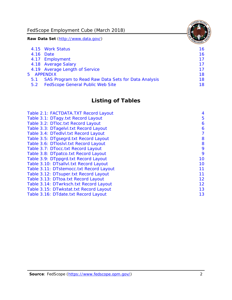FedScope Employment Cube (March 2018)

**Raw Data Set** (http://www.data.gov/)

|               | 4.15 Work Status                                    | 16. |
|---------------|-----------------------------------------------------|-----|
|               | 4.16 Date                                           | 16  |
|               | 4.17 Employment                                     | 17  |
|               | 4.18 Average Salary                                 | 17  |
|               | 4.19 Average Length of Service                      | 17  |
| 5 APPENDIX    |                                                     | 18  |
| 5.1           | SAS Program to Read Raw Data Sets for Data Analysis | 18  |
| $5.2^{\circ}$ | <b>FedScope General Public Web Site</b>             | 18  |
|               |                                                     |     |

# **Listing of Tables**

| Table 2.1: FACTDATA.TXT Record Layout   | 4  |
|-----------------------------------------|----|
| Table 3.1: DTagy.txt Record Layout      | 5  |
| Table 3.2: DTloc.txt Record Layout      | 6  |
| Table 3.3: DTagelvl.txt Record Layout   | 6  |
| Table 3.4: DTedlvl.txt Record Layout    | 7  |
| Table 3.5: DTgsegrd.txt Record Layout   | 8  |
| Table 3.6: DTloslvl.txt Record Layout   | 8  |
| Table 3.7: DTocc.txt Record Layout      | 9  |
| Table 3.8: DTpatco.txt Record Layout    | 9  |
| Table 3.9: DTppgrd.txt Record Layout    | 10 |
| Table 3.10: DTsallvl.txt Record Layout  | 10 |
| Table 3.11: DTstemocc.txt Record Layout | 11 |
| Table 3.12: DTsuper.txt Record Layout   | 11 |
| Table 3.13: DTtoa.txt Record Layout     | 12 |
| Table 3.14: DTwrksch.txt Record Layout  | 12 |
| Table 3.15: DTwkstat.txt Record Layout  | 13 |
| Table 3.16: DTdate.txt Record Layout    | 13 |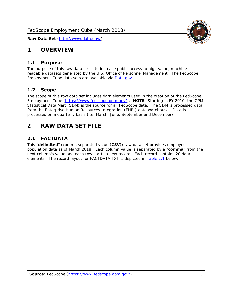

## <span id="page-3-0"></span>**1 OVERVIEW**

#### <span id="page-3-1"></span>*1.1 Purpose*

The purpose of this raw data set is to increase public access to high value, machine readable datasets generated by the U.S. Office of Personnel Management. The FedScope Employment Cube data sets are available via [Data.gov.](http://www.data.gov/)

#### <span id="page-3-2"></span>*1.2 Scope*

The scope of this raw data set includes data elements used in the creation of the FedScope Employment Cube [\(https://www.fedscope.opm.gov/\)](https://www.fedscope.opm.gov/). **NOTE**: Starting in FY 2010, the OPM Statistical Data Mart (SDM) is the source for all FedScope data. The SDM is processed data from the Enterprise Human Resources Integration (EHRI) data warehouse. Data is processed on a quarterly basis (i.e. March, June, September and December).

## <span id="page-3-3"></span>**2 RAW DATA SET FILE**

## <span id="page-3-4"></span>*2.1 FACTDATA*

This "**delimited**" (comma separated value (**CSV**)) raw data set provides employee population data as of March 2018. Each column value is separated by a "**comma**" from the next column's value and each row starts a new record. Each record contains 20 data elements. The record layout for FACTDATA.TXT is depicted in [Table 2.1](#page-4-0) below: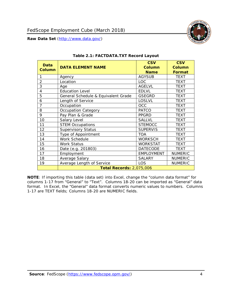<span id="page-4-0"></span>

#### **Table 2.1: FACTDATA.TXT Record Layout**

**NOTE**: If importing this table (data set) into Excel, change the "column data format" for columns 1-17 from "General" to "Text". Columns 18-20 can be imported as "General" data format. In Excel, the "General" data format converts numeric values to numbers. Columns 1-17 are TEXT fields; Columns 18-20 are NUMERIC fields.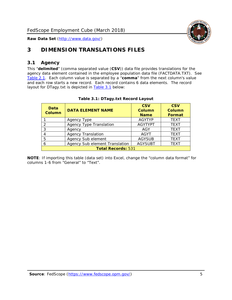

## <span id="page-5-0"></span>**3 DIMENSION TRANSLATIONS FILES**

## <span id="page-5-1"></span>*3.1 Agency*

This "**delimited**" (comma separated value (**CSV**)) data file provides translations for the agency data element contained in the employee population data file (FACTDATA.TXT). See [Table 2.1.](#page-4-0) Each column value is separated by a "**comma**" from the next column's value and each row starts a new record. Each record contains 6 data elements. The record layout for DTagy.txt is depicted in **[Table 3.1](#page-5-2)** below:

<span id="page-5-2"></span>

| Data<br><b>Column</b>     | <b>DATA ELEMENT NAME</b>       | <b>CSV</b><br>Column<br><b>Name</b> | <b>CSV</b><br>Column<br>Format |
|---------------------------|--------------------------------|-------------------------------------|--------------------------------|
|                           | Agency Type                    | <b>AGYTYP</b>                       | <b>TEXT</b>                    |
|                           | <b>Agency Type Translation</b> | <b>AGYTYPT</b>                      | <b>TEXT</b>                    |
| 3                         | Agency                         | AGY                                 | <b>TEXT</b>                    |
|                           | <b>Agency Translation</b>      | <b>AGYT</b>                         | <b>TEXT</b>                    |
| 5                         | Agency Sub element             | <b>AGYSUB</b>                       | <b>TEXT</b>                    |
| 6                         | Agency Sub element Translation | <b>AGYSUBT</b>                      | <b>TEXT</b>                    |
| <b>Total Records: 531</b> |                                |                                     |                                |

#### **Table 3.1: DTagy.txt Record Layout**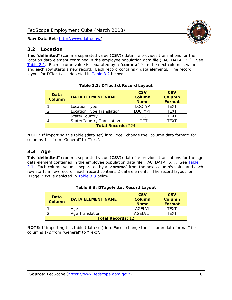#### <span id="page-6-0"></span>*3.2 Location*

This "**delimited**" (comma separated value (**CSV**)) data file provides translations for the location data element contained in the employee population data file (FACTDATA.TXT). See [Table 2.1.](#page-4-0) Each column value is separated by a "**comma**" from the next column's value and each row starts a new record. Each record contains 4 data elements. The record layout for DTloc.txt is depicted in [Table 3.2](#page-6-2) below:

<span id="page-6-2"></span>

| Data<br><b>Column</b>     | <b>DATA ELEMENT NAME</b>         | <b>CSV</b><br><b>Column</b><br><b>Name</b> | <b>CSV</b><br><b>Column</b><br>Format |  |
|---------------------------|----------------------------------|--------------------------------------------|---------------------------------------|--|
|                           | Location Type                    | <b>LOCTYP</b>                              | <b>TEXT</b>                           |  |
|                           | Location Type Translation        | <b>LOCTYPT</b>                             | <b>TEXT</b>                           |  |
| <u>ົ</u>                  | State/Country                    | <b>LOC</b>                                 | <b>TFXT</b>                           |  |
|                           | <b>State/Country Translation</b> | <b>LOCT</b>                                | <b>TEXT</b>                           |  |
| <b>Total Records: 224</b> |                                  |                                            |                                       |  |

**Table 3.2: DTloc.txt Record Layout**

**NOTE**: If importing this table (data set) into Excel, change the "column data format" for columns 1-4 from "General" to "Text".

## <span id="page-6-1"></span>*3.3 Age*

This "**delimited**" (comma separated value (**CSV**)) data file provides translations for the age data element contained in the employee population data file (FACTDATA.TXT). See Table [2.1.](#page-4-0) Each column value is separated by a "**comma**" from the next column's value and each row starts a new record. Each record contains 2 data elements. The record layout for DTagelvl.txt is depicted in [Table 3.3](#page-6-3) below:

<span id="page-6-3"></span>

| Data<br>Column           | <b>DATA ELEMENT NAME</b> | <b>CSV</b><br>Column<br><b>Name</b> | <b>CSV</b><br>Column<br><b>Format</b> |
|--------------------------|--------------------------|-------------------------------------|---------------------------------------|
|                          | Aae                      | AGFI VI                             | TFXT                                  |
|                          | Age Translation          | AGFI VI T                           | TFXT                                  |
| <b>Total Records: 12</b> |                          |                                     |                                       |

| Table 3.3: DTagelvl.txt Record Layout |  |
|---------------------------------------|--|
|---------------------------------------|--|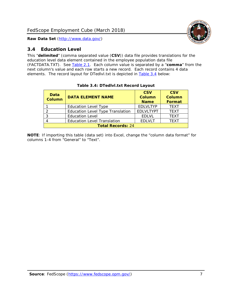

## <span id="page-7-0"></span>*3.4 Education Level*

This "**delimited**" (comma separated value (**CSV**)) data file provides translations for the education level data element contained in the employee population data file (FACTDATA.TXT). See [Table 2.1.](#page-4-0) Each column value is separated by a "**comma**" from the next column's value and each row starts a new record. Each record contains 4 data elements. The record layout for DTedlvl.txt is depicted in [Table 3.4](#page-7-1) below:

<span id="page-7-1"></span>

| Data<br><b>Column</b>    | <b>DATA ELEMENT NAME</b>                | <b>CSV</b><br>Column<br><b>Name</b> | <b>CSV</b><br><b>Column</b><br><b>Format</b> |  |
|--------------------------|-----------------------------------------|-------------------------------------|----------------------------------------------|--|
|                          | <b>Education Level Type</b>             | <b>EDLVLTYP</b>                     | <b>TEXT</b>                                  |  |
| っ                        | <b>Education Level Type Translation</b> | <b>EDLVLTYPT</b>                    | <b>TEXT</b>                                  |  |
| 3                        | <b>Education Level</b>                  | <b>EDLVL</b>                        | <b>TEXT</b>                                  |  |
|                          | <b>Education Level Translation</b>      | <b>EDLVLT</b>                       | <b>TEXT</b>                                  |  |
| <b>Total Records: 24</b> |                                         |                                     |                                              |  |

#### **Table 3.4: DTedlvl.txt Record Layout**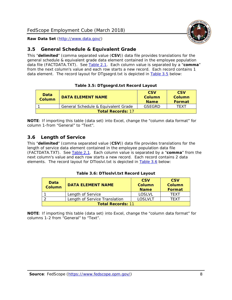

## <span id="page-8-0"></span>*3.5 General Schedule & Equivalent Grade*

This "**delimited**" (comma separated value (**CSV**)) data file provides translations for the general schedule & equivalent grade data element contained in the employee population data file (FACTDATA.TXT). See [Table 2.1.](#page-4-0) Each column value is separated by a "**comma**" from the next column's value and each row starts a new record. Each record contains 1 data element. The record layout for DTgsegrd.txt is depicted in [Table 3.5](#page-8-2) below:

#### **Table 3.5: DTgsegrd.txt Record Layout**

<span id="page-8-2"></span>

| Data<br>Column           | <b>DATA ELEMENT NAME</b>            | <b>CSV</b><br>Column<br><b>Name</b> | <b>CSV</b><br>Column<br><b>Format</b> |  |
|--------------------------|-------------------------------------|-------------------------------------|---------------------------------------|--|
|                          | General Schedule & Equivalent Grade | GSEGRD                              | TFXT                                  |  |
| <b>Total Records: 17</b> |                                     |                                     |                                       |  |

**NOTE**: If importing this table (data set) into Excel, change the "column data format" for column 1-from "General" to "Text".

## <span id="page-8-1"></span>*3.6 Length of Service*

This "**delimited**" (comma separated value (**CSV**)) data file provides translations for the length of service data element contained in the employee population data file (FACTDATA.TXT). See [Table 2.1.](#page-4-0) Each column value is separated by a "**comma**" from the next column's value and each row starts a new record. Each record contains 2 data elements. The record layout for DTloslvl.txt is depicted in [Table 3.6](#page-8-3) below:

#### **Table 3.6: DTloslvl.txt Record Layout**

<span id="page-8-3"></span>

| Data<br><b>Column</b>    | <b>DATA ELEMENT NAME</b>      | <b>CSV</b><br>Column<br><b>Name</b> | <b>CSV</b><br>Column<br>Format |  |
|--------------------------|-------------------------------|-------------------------------------|--------------------------------|--|
|                          | Length of Service             | LOSLVL                              | TFXT                           |  |
|                          | Length of Service Translation | LOSLVLT                             | TFXT                           |  |
| <b>Total Records: 11</b> |                               |                                     |                                |  |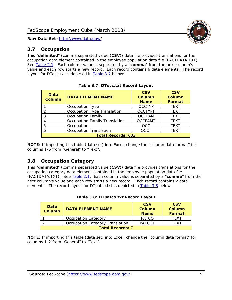## <span id="page-9-0"></span>*3.7 Occupation*

This "**delimited**" (comma separated value (**CSV**)) data file provides translations for the occupation data element contained in the employee population data file (FACTDATA.TXT). See [Table 2.1.](#page-4-0) Each column value is separated by a "**comma**" from the next column's value and each row starts a new record. Each record contains 6 data elements. The record layout for DTocc.txt is depicted in [Table 3.7](#page-9-2) below:

<span id="page-9-2"></span>

| Data<br><b>Column</b>     | <b>DATA ELEMENT NAME</b>             | <b>CSV</b><br><b>Column</b><br><b>Name</b> | <b>CSV</b><br>Column<br>Format |
|---------------------------|--------------------------------------|--------------------------------------------|--------------------------------|
|                           | Occupation Type                      | <b>OCCTYP</b>                              | <b>TEXT</b>                    |
| 2                         | Occupation Type Translation          | <b>OCCTYPT</b>                             | <b>TEXT</b>                    |
| 3                         | <b>Occupation Family</b>             | <b>OCCFAM</b>                              | <b>TEXT</b>                    |
|                           | <b>Occupation Family Translation</b> | <b>OCCFAMT</b>                             | <b>TEXT</b>                    |
| 5                         | Occupation                           | <b>OCC</b>                                 | <b>TEXT</b>                    |
| 6                         | <b>Occupation Translation</b>        | <b>OCCT</b>                                | <b>TEXT</b>                    |
| <b>Total Records: 682</b> |                                      |                                            |                                |

**NOTE**: If importing this table (data set) into Excel, change the "column data format" for columns 1-6 from "General" to "Text".

## <span id="page-9-1"></span>*3.8 Occupation Category*

This "**delimited**" (comma separated value (**CSV**)) data file provides translations for the occupation category data element contained in the employee population data file (FACTDATA.TXT). See [Table 2.1.](#page-4-0) Each column value is separated by a "**comma**" from the next column's value and each row starts a new record. Each record contains 2 data elements. The record layout for DTpatco.txt is depicted in [Table 3.8](#page-9-3) below:

<span id="page-9-3"></span>

| Data<br><b>Column</b>   | <b>DATA ELEMENT NAME</b>        | <b>CSV</b><br><b>Column</b><br><b>Name</b> | <b>CSV</b><br>Column<br>Format |
|-------------------------|---------------------------------|--------------------------------------------|--------------------------------|
|                         | Occupation Category             | <b>PATCO</b>                               | <b>TFXT</b>                    |
|                         | Occupation Category Translation | <b>PATCOT</b>                              | TFXT                           |
| <b>Total Records: 7</b> |                                 |                                            |                                |

|  | Table 3.8: DTpatco.txt Record Layout |  |
|--|--------------------------------------|--|
|  |                                      |  |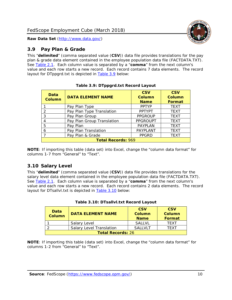

## <span id="page-10-0"></span>*3.9 Pay Plan & Grade*

This "**delimited**" (comma separated value (**CSV**)) data file provides translations for the pay plan & grade data element contained in the employee population data file (FACTDATA.TXT). See [Table 2.1.](#page-4-0) Each column value is separated by a "**comma**" from the next column's value and each row starts a new record. Each record contains 7 data elements. The record layout for DTppgrd.txt is depicted in [Table 3.9](#page-10-2) below:

<span id="page-10-2"></span>

| Data<br><b>Column</b> | <b>DATA ELEMENT NAME</b>   | <b>CSV</b><br>Column<br><b>Name</b> | <b>CSV</b><br>Column<br>Format |  |  |
|-----------------------|----------------------------|-------------------------------------|--------------------------------|--|--|
|                       | Pay Plan Type              | <b>PPTYP</b>                        | <b>TEXT</b>                    |  |  |
| $\overline{2}$        | Pay Plan Type Translation  | <b>PPTYPT</b>                       | <b>TEXT</b>                    |  |  |
| 3                     | Pay Plan Group             | <b>PPGROUP</b>                      | <b>TEXT</b>                    |  |  |
| 4                     | Pay Plan Group Translation | <b>PPGROUPT</b>                     | <b>TEXT</b>                    |  |  |
| 5                     | Pay Plan                   | <b>PAYPLAN</b>                      | <b>TEXT</b>                    |  |  |
| 6                     | Pay Plan Translation       | PAYPLANT                            | <b>TEXT</b>                    |  |  |
| $\overline{ }$        | Pay Plan & Grade           | <b>PPGRD</b>                        | <b>TEXT</b>                    |  |  |
|                       | <b>Total Records: 969</b>  |                                     |                                |  |  |

**Table 3.9: DTppgrd.txt Record Layout**

**NOTE**: If importing this table (data set) into Excel, change the "column data format" for columns 1-7 from "General" to "Text".

## <span id="page-10-1"></span>*3.10 Salary Level*

This "**delimited**" (comma separated value (**CSV**)) data file provides translations for the salary level data element contained in the employee population data file (FACTDATA.TXT). See [Table 2.1.](#page-4-0) Each column value is separated by a "**comma**" from the next column's value and each row starts a new record. Each record contains 2 data elements. The record layout for DTsallvl.txt is depicted in **Table 3.10** below:

<span id="page-10-3"></span>

| Data<br><b>Column</b>    | <b>DATA ELEMENT NAME</b>        | <b>CSV</b><br><b>Column</b><br><b>Name</b> | <b>CSV</b><br>Column<br>Format |
|--------------------------|---------------------------------|--------------------------------------------|--------------------------------|
|                          | Salary Level                    | <b>SALLVL</b>                              | <b>TFXT</b>                    |
|                          | <b>Salary Level Translation</b> | <b>SALLVLT</b>                             | TFXT                           |
| <b>Total Records: 26</b> |                                 |                                            |                                |

|  |  | Table 3.10: DTsallvl.txt Record Layout |
|--|--|----------------------------------------|
|--|--|----------------------------------------|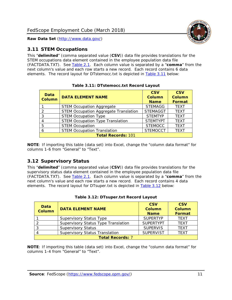

## <span id="page-11-0"></span>*3.11 STEM Occupations*

This "**delimited**" (comma separated value (**CSV**)) data file provides translations for the STEM occupations data element contained in the employee population data file (FACTDATA.TXT). See [Table 2.1.](#page-4-0) Each column value is separated by a "**comma**" from the next column's value and each row starts a new record. Each record contains 6 data elements. The record layout for DTstemocc.txt is depicted in [Table 3.11](#page-11-2) below:

<span id="page-11-2"></span>

| <b>Data</b><br><b>Column</b> | <b>DATA ELEMENT NAME</b>                     | <b>CSV</b><br>Column<br><b>Name</b> | <b>CSV</b><br><b>Column</b><br>Format |  |  |
|------------------------------|----------------------------------------------|-------------------------------------|---------------------------------------|--|--|
|                              | <b>STEM Occupation Aggregate</b>             | <b>STEMAGG</b>                      | <b>TEXT</b>                           |  |  |
| っ                            | <b>STEM Occupation Aggregate Translation</b> | <b>STEMAGGT</b>                     | <b>TEXT</b>                           |  |  |
| 3                            | <b>STEM Occupation Type</b>                  | <b>STEMTYP</b>                      | <b>TEXT</b>                           |  |  |
| 4                            | <b>STEM Occupation Type Translation</b>      | <b>STEMTYPT</b>                     | <b>TEXT</b>                           |  |  |
| 5                            | <b>STEM Occupation</b>                       | <b>STEMOCC</b>                      | <b>TEXT</b>                           |  |  |
| 6                            | <b>STEM Occupation Translation</b>           | <b>STEMOCCT</b>                     | <b>TEXT</b>                           |  |  |
|                              | <b>Total Records: 101</b>                    |                                     |                                       |  |  |

**Table 3.11: DTstemocc.txt Record Layout**

**NOTE**: If importing this table (data set) into Excel, change the "column data format" for columns 1-6 from "General" to "Text".

## <span id="page-11-1"></span>*3.12 Supervisory Status*

This "**delimited**" (comma separated value (**CSV**)) data file provides translations for the supervisory status data element contained in the employee population data file (FACTDATA.TXT). See [Table 2.1.](#page-4-0) Each column value is separated by a "**comma**" from the next column's value and each row starts a new record. Each record contains 4 data elements. The record layout for DTsuper.txt is depicted in [Table 3.12](#page-11-3) below:

<span id="page-11-3"></span>

| Data<br><b>Column</b>   | <b>DATA ELEMENT NAME</b>              | <b>CSV</b><br><b>Column</b><br><b>Name</b> | <b>CSV</b><br><b>Column</b><br>Format |  |
|-------------------------|---------------------------------------|--------------------------------------------|---------------------------------------|--|
|                         | <b>Supervisory Status Type</b>        | <b>SUPERTYP</b>                            | <b>TEXT</b>                           |  |
|                         | Supervisory Status Type Translation   | <b>SUPFRTYPT</b>                           | <b>TEXT</b>                           |  |
|                         | <b>Supervisory Status</b>             | <b>SUPERVIS</b>                            | <b>TEXT</b>                           |  |
|                         | <b>Supervisory Status Translation</b> | <b>SUPERVIST</b>                           | <b>TEXT</b>                           |  |
| <b>Total Records: 7</b> |                                       |                                            |                                       |  |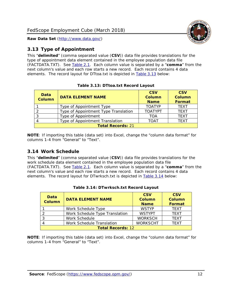

## <span id="page-12-0"></span>*3.13 Type of Appointment*

This "**delimited**" (comma separated value (**CSV**)) data file provides translations for the type of appointment data element contained in the employee population data file (FACTDATA.TXT). See [Table 2.1.](#page-4-0) Each column value is separated by a "**comma**" from the next column's value and each row starts a new record. Each record contains 4 data elements. The record layout for DTtoa.txt is depicted in [Table 3.13](#page-12-2) below:

<span id="page-12-2"></span>

| <b>Data</b><br><b>Column</b> | <b>DATA ELEMENT NAME</b>             | <b>CSV</b><br><b>Column</b><br><b>Name</b> | <b>CSV</b><br><b>Column</b><br>Format |  |
|------------------------------|--------------------------------------|--------------------------------------------|---------------------------------------|--|
|                              | Type of Appointment Type             | <b>TOATYP</b>                              | <b>TEXT</b>                           |  |
|                              | Type of Appointment Type Translation | <b>TOATYPT</b>                             | <b>TEXT</b>                           |  |
|                              | Type of Appointment                  | TOA                                        | <b>TEXT</b>                           |  |
| 4                            | Type of Appointment Translation      | <b>TOAT</b>                                | <b>TFXT</b>                           |  |
| <b>Total Records: 21</b>     |                                      |                                            |                                       |  |

|  | Table 3.13: DTtoa.txt Record Layout |  |
|--|-------------------------------------|--|
|  |                                     |  |

**NOTE**: If importing this table (data set) into Excel, change the "column data format" for columns 1-4 from "General" to "Text".

## <span id="page-12-1"></span>*3.14 Work Schedule*

This "**delimited**" (comma separated value (**CSV**)) data file provides translations for the work schedule data element contained in the employee population data file (FACTDATA.TXT). See [Table 2.1.](#page-4-0) Each column value is separated by a "**comma**" from the next column's value and each row starts a new record. Each record contains 4 data elements. The record layout for DTwrksch.txt is depicted in [Table 3.14](#page-12-3) below:

<span id="page-12-3"></span>

| Data<br><b>Column</b>    | <b>DATA ELEMENT NAME</b>       | <b>CSV</b><br><b>Column</b><br><b>Name</b> | <b>CSV</b><br><b>Column</b><br><b>Format</b> |
|--------------------------|--------------------------------|--------------------------------------------|----------------------------------------------|
|                          | Work Schedule Type             | <b>WSTYP</b>                               | <b>TFXT</b>                                  |
|                          | Work Schedule Type Translation | <b>WSTYPT</b>                              | <b>TEXT</b>                                  |
| -3                       | Work Schedule                  | <b>WORKSCH</b>                             | <b>TFXT</b>                                  |
|                          | Work Schedule Translation      | <b>WORKSCHT</b>                            | <b>TFXT</b>                                  |
| <b>Total Records: 12</b> |                                |                                            |                                              |

|  | Table 3.14: DTwrksch.txt Record Layout |  |  |
|--|----------------------------------------|--|--|
|--|----------------------------------------|--|--|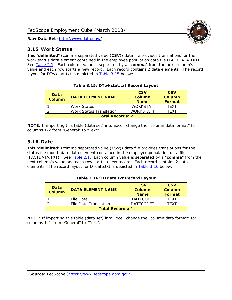



#### <span id="page-13-0"></span>*3.15 Work Status*

This "**delimited**" (comma separated value (**CSV**)) data file provides translations for the work status data element contained in the employee population data file (FACTDATA.TXT). See [Table 2.1.](#page-4-0) Each column value is separated by a "**comma**" from the next column's value and each row starts a new record. Each record contains 2 data elements. The record layout for DTwkstat.txt is depicted in [Table 3.15](#page-13-2) below:

<span id="page-13-2"></span>

| <b>Data</b><br><b>Column</b> | <b>DATA ELEMENT NAME</b>       | <b>CSV</b><br>Column<br><b>Name</b> | <b>CSV</b><br>Column<br>Format |  |  |
|------------------------------|--------------------------------|-------------------------------------|--------------------------------|--|--|
|                              | Work Status                    | <b>WORKSTAT</b>                     | <b>TFXT</b>                    |  |  |
| ⌒                            | <b>Work Status Translation</b> | <b>WORKSTATT</b>                    | <b>TFXT</b>                    |  |  |
| <b>Total Records: 2</b>      |                                |                                     |                                |  |  |

|  | Table 3.15: DTwkstat.txt Record Layout |  |
|--|----------------------------------------|--|
|  |                                        |  |

**NOTE**: If importing this table (data set) into Excel, change the "column data format" for columns 1-2 from "General" to "Text".

## <span id="page-13-1"></span>*3.16 Date*

This "**delimited**" (comma separated value (**CSV**)) data file provides translations for the status file month date data element contained in the employee population data file (FACTDATA.TXT). See [Table 2.1.](#page-4-0) Each column value is separated by a "**comma**" from the next column's value and each row starts a new record. Each record contains 2 data elements. The record layout for DTdate.txt is depicted in [Table 3.16](#page-13-3) below:

<span id="page-13-3"></span>

| Data<br><b>Column</b>   | <b>DATA ELEMENT NAME</b> | <b>CSV</b><br>Column<br><b>Name</b> | <b>CSV</b><br>Column<br><b>Format</b> |  |  |
|-------------------------|--------------------------|-------------------------------------|---------------------------------------|--|--|
|                         | File Date                | <b>DATECODE</b>                     | <b>TFXT</b>                           |  |  |
|                         | File Date Translation    | <b>DATECODET</b>                    | <b>TFXT</b>                           |  |  |
| <b>Total Records: 1</b> |                          |                                     |                                       |  |  |

**Table 3.16: DTdate.txt Record Layout**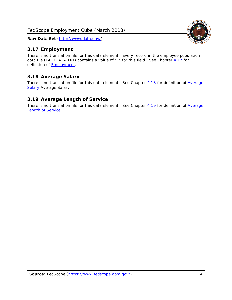## <span id="page-14-0"></span>*3.17 Employment*

There is no translation file for this data element. Every record in the employee population data file (FACTDATA.TXT) contains a value of "1" for this field. See Chapter [4.17](#page-16-8) for definition of [Employment.](#page-17-0)

## <span id="page-14-1"></span>*3.18 Average Salary*

There is no translation file for this data element. See Chapter [4.18](#page-17-1) for definition of Average [Salary](#page-17-1) [Average Salary.](#page-17-1)

## <span id="page-14-2"></span>*3.19 Average Length of Service*

There is no translation file for this data element. See Chapter [4.19](#page-17-2) for definition of Average **[Length of Service](#page-17-2)** 

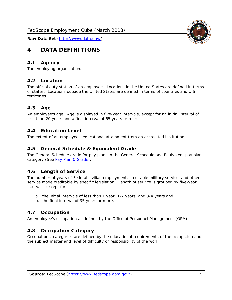## <span id="page-15-0"></span>**4 DATA DEFINITIONS**

#### <span id="page-15-1"></span>*4.1 Agency*

<span id="page-15-2"></span>The employing organization.

#### *4.2 Location*

The official duty station of an employee. Locations in the United States are defined in terms of states. Locations outside the United States are defined in terms of countries and U.S. territories.

#### <span id="page-15-3"></span>*4.3 Age*

An employee's age. Age is displayed in five-year intervals, except for an initial interval of less than 20 years and a final interval of 65 years or more.

#### <span id="page-15-4"></span>*4.4 Education Level*

<span id="page-15-5"></span>The extent of an employee's educational attainment from an accredited institution.

#### *4.5 General Schedule & Equivalent Grade*

The General Schedule grade for pay plans in the General Schedule and Equivalent pay plan category (See [Pay Plan & Grade\)](#page-16-0).

#### <span id="page-15-6"></span>*4.6 Length of Service*

The number of years of Federal civilian employment, creditable military service, and other service made creditable by specific legislation. Length of service is grouped by five-year intervals, except for:

- a. the initial intervals of less than 1 year, 1-2 years, and 3-4 years and
- b. the final interval of 35 years or more.

#### <span id="page-15-7"></span>*4.7 Occupation*

<span id="page-15-8"></span>An employee's occupation as defined by the Office of Personnel Management (OPM).

#### *4.8 Occupation Category*

Occupational categories are defined by the educational requirements of the occupation and the subject matter and level of difficulty or responsibility of the work.

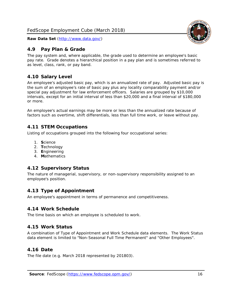## <span id="page-16-0"></span>*4.9 Pay Plan & Grade*

The pay system and, where applicable, the grade used to determine an employee's basic pay rate. Grade denotes a hierarchical position in a pay plan and is sometimes referred to as level, class, rank, or pay band.

## <span id="page-16-1"></span>*4.10 Salary Level*

An employee's adjusted basic pay, which is an annualized rate of pay. Adjusted basic pay is the sum of an employee's rate of basic pay plus any locality comparability payment and/or special pay adjustment for law enforcement officers. Salaries are grouped by \$10,000 intervals, except for an initial interval of less than \$20,000 and a final interval of \$180,000 or more.

An employee's actual earnings may be more or less than the annualized rate because of factors such as overtime, shift differentials, less than full time work, or leave without pay.

## <span id="page-16-2"></span>*4.11 STEM Occupations*

Listing of occupations grouped into the following four occupational series:

- 1. **S**cience
- 2. **T**echnology
- 3. **E**ngineering
- 4. **M**athematics

## <span id="page-16-3"></span>*4.12 Supervisory Status*

The nature of managerial, supervisory, or non-supervisory responsibility assigned to an employee's position.

## <span id="page-16-4"></span>*4.13 Type of Appointment*

<span id="page-16-5"></span>An employee's appointment in terms of permanence and competitiveness.

#### *4.14 Work Schedule*

<span id="page-16-6"></span>The time basis on which an employee is scheduled to work.

## *4.15 Work Status*

A combination of Type of Appointment and Work Schedule data elements. The Work Status data element is limited to "Non-Seasonal Full Time Permanent" and "Other Employees".

## <span id="page-16-7"></span>*4.16 Date*

<span id="page-16-8"></span>The file date (e.g. March 2018 represented by 201803).

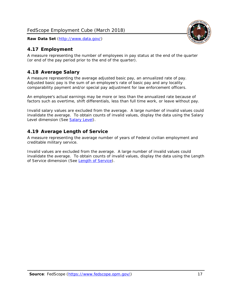## <span id="page-17-0"></span>*4.17 Employment*

A measure representing the number of employees in pay status at the end of the quarter (or end of the pay period prior to the end of the quarter).

## <span id="page-17-1"></span>*4.18 Average Salary*

A measure representing the average adjusted basic pay, an annualized rate of pay. Adjusted basic pay is the sum of an employee's rate of basic pay and any locality comparability payment and/or special pay adjustment for law enforcement officers.

An employee's actual earnings may be more or less than the annualized rate because of factors such as overtime, shift differentials, less than full time work, or leave without pay.

Invalid salary values are excluded from the average. A large number of invalid values could invalidate the average. To obtain counts of invalid values, display the data using the Salary Level dimension (See [Salary Level\)](#page-16-1).

## <span id="page-17-2"></span>*4.19 Average Length of Service*

A measure representing the average number of years of Federal civilian employment and creditable military service.

Invalid values are excluded from the average. A large number of invalid values could invalidate the average. To obtain counts of invalid values, display the data using the Length of Service dimension (See [Length of Service\)](#page-15-6).